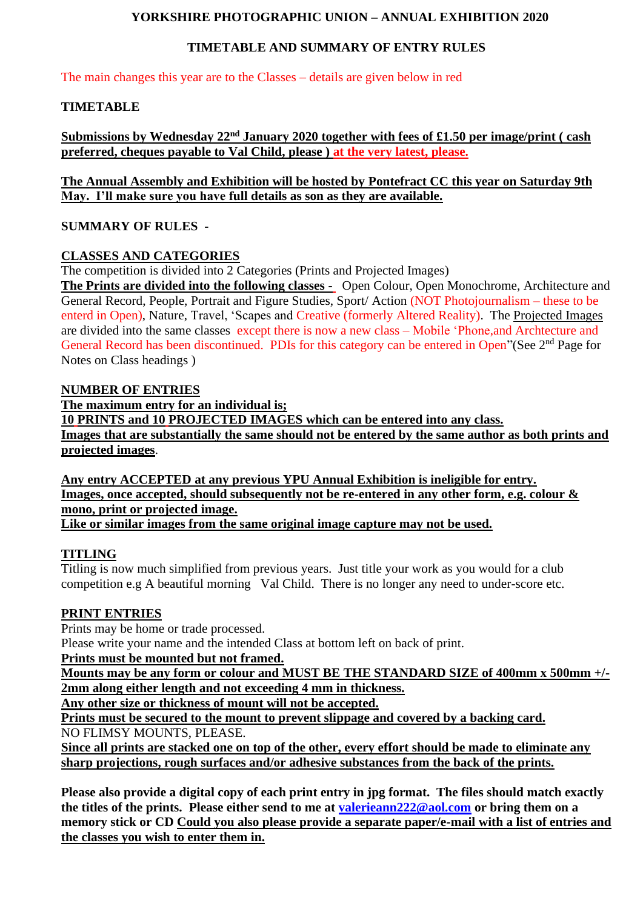## **YORKSHIRE PHOTOGRAPHIC UNION – ANNUAL EXHIBITION 2020**

# **TIMETABLE AND SUMMARY OF ENTRY RULES**

The main changes this year are to the Classes – details are given below in red

## **TIMETABLE**

**Submissions by Wednesday 22nd January 2020 together with fees of £1.50 per image/print ( cash preferred, cheques payable to Val Child, please ) at the very latest, please.** 

**The Annual Assembly and Exhibition will be hosted by Pontefract CC this year on Saturday 9th May. I'll make sure you have full details as son as they are available.**

## **SUMMARY OF RULES -**

## **CLASSES AND CATEGORIES**

The competition is divided into 2 Categories (Prints and Projected Images)

**The Prints are divided into the following classes -** Open Colour, Open Monochrome, Architecture and General Record, People, Portrait and Figure Studies, Sport/ Action (NOT Photojournalism – these to be enterd in Open), Nature, Travel, 'Scapes and Creative (formerly Altered Reality). The Projected Images are divided into the same classes except there is now a new class – Mobile 'Phone,and Archtecture and General Record has been discontinued. PDIs for this category can be entered in Open"(See 2<sup>nd</sup> Page for Notes on Class headings )

## **NUMBER OF ENTRIES**

**The maximum entry for an individual is; 10 PRINTS and 10 PROJECTED IMAGES which can be entered into any class. Images that are substantially the same should not be entered by the same author as both prints and projected images**.

**Any entry ACCEPTED at any previous YPU Annual Exhibition is ineligible for entry. Images, once accepted, should subsequently not be re-entered in any other form, e.g. colour & mono, print or projected image.** 

**Like or similar images from the same original image capture may not be used.**

## **TITLING**

Titling is now much simplified from previous years. Just title your work as you would for a club competition e.g A beautiful morning Val Child. There is no longer any need to under-score etc.

## **PRINT ENTRIES**

Prints may be home or trade processed. Please write your name and the intended Class at bottom left on back of print.

**Prints must be mounted but not framed.**

**Mounts may be any form or colour and MUST BE THE STANDARD SIZE of 400mm x 500mm +/- 2mm along either length and not exceeding 4 mm in thickness.**

**Any other size or thickness of mount will not be accepted.** 

**Prints must be secured to the mount to prevent slippage and covered by a backing card.** NO FLIMSY MOUNTS, PLEASE.

**Since all prints are stacked one on top of the other, every effort should be made to eliminate any sharp projections, rough surfaces and/or adhesive substances from the back of the prints.** 

**Please also provide a digital copy of each print entry in jpg format. The files should match exactly the titles of the prints. Please either send to me at [valerieann222@aol.com](mailto:valerieann222@aol.com) or bring them on a memory stick or CD Could you also please provide a separate paper/e-mail with a list of entries and the classes you wish to enter them in.**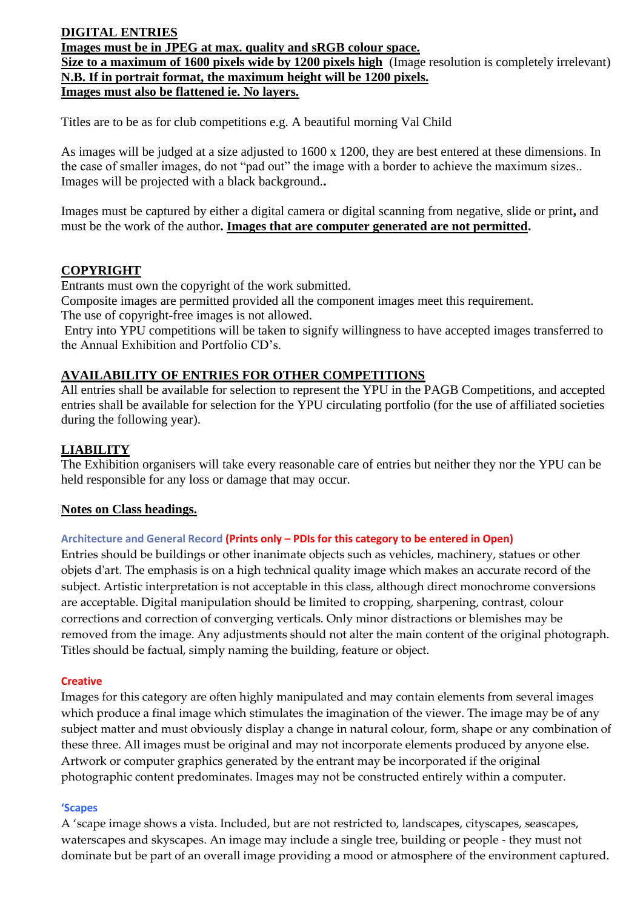# **DIGITAL ENTRIES**

**Images must be in JPEG at max. quality and sRGB colour space.** 

**Size to a maximum of 1600 pixels wide by 1200 pixels high** (Image resolution is completely irrelevant) **N.B. If in portrait format, the maximum height will be 1200 pixels.**

**Images must also be flattened ie. No layers.**

Titles are to be as for club competitions e.g. A beautiful morning Val Child

As images will be judged at a size adjusted to 1600 x 1200, they are best entered at these dimensions. In the case of smaller images, do not "pad out" the image with a border to achieve the maximum sizes.. Images will be projected with a black background.**.** 

Images must be captured by either a digital camera or digital scanning from negative, slide or print**,** and must be the work of the author**. Images that are computer generated are not permitted.**

# **COPYRIGHT**

Entrants must own the copyright of the work submitted.

Composite images are permitted provided all the component images meet this requirement.

The use of copyright-free images is not allowed.

Entry into YPU competitions will be taken to signify willingness to have accepted images transferred to the Annual Exhibition and Portfolio CD's.

# **AVAILABILITY OF ENTRIES FOR OTHER COMPETITIONS**

All entries shall be available for selection to represent the YPU in the PAGB Competitions, and accepted entries shall be available for selection for the YPU circulating portfolio (for the use of affiliated societies during the following year).

# **LIABILITY**

The Exhibition organisers will take every reasonable care of entries but neither they nor the YPU can be held responsible for any loss or damage that may occur.

## **Notes on Class headings.**

## **Architecture and General Record (Prints only – PDIs for this category to be entered in Open)**

Entries should be buildings or other inanimate objects such as vehicles, machinery, statues or other objets d'art. The emphasis is on a high technical quality image which makes an accurate record of the subject. Artistic interpretation is not acceptable in this class, although direct monochrome conversions are acceptable. Digital manipulation should be limited to cropping, sharpening, contrast, colour corrections and correction of converging verticals. Only minor distractions or blemishes may be removed from the image. Any adjustments should not alter the main content of the original photograph. Titles should be factual, simply naming the building, feature or object.

#### **Creative**

Images for this category are often highly manipulated and may contain elements from several images which produce a final image which stimulates the imagination of the viewer. The image may be of any subject matter and must obviously display a change in natural colour, form, shape or any combination of these three. All images must be original and may not incorporate elements produced by anyone else. Artwork or computer graphics generated by the entrant may be incorporated if the original photographic content predominates. Images may not be constructed entirely within a computer.

#### **'Scapes**

A 'scape image shows a vista. Included, but are not restricted to, landscapes, cityscapes, seascapes, waterscapes and skyscapes. An image may include a single tree, building or people - they must not dominate but be part of an overall image providing a mood or atmosphere of the environment captured.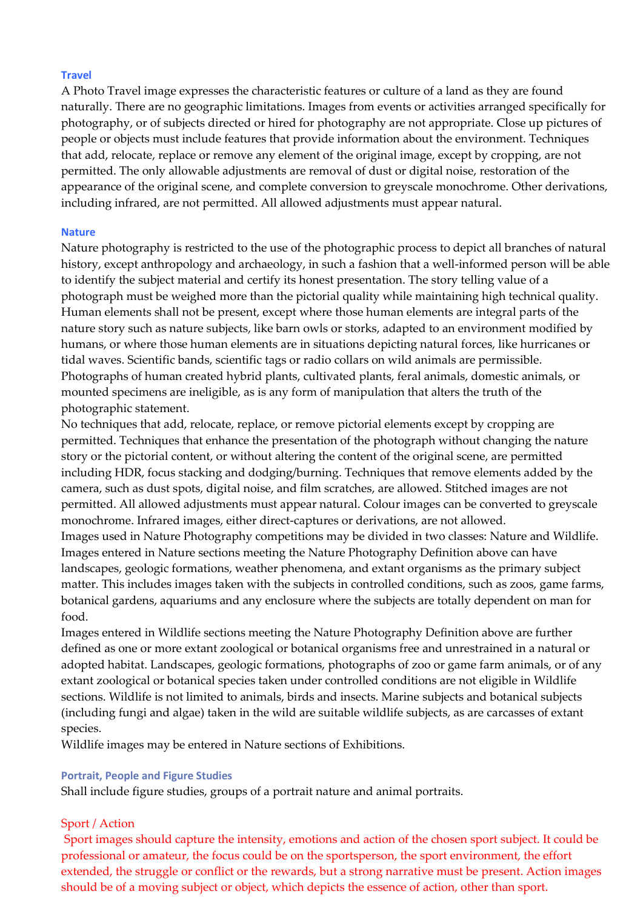#### **Travel**

A Photo Travel image expresses the characteristic features or culture of a land as they are found naturally. There are no geographic limitations. Images from events or activities arranged specifically for photography, or of subjects directed or hired for photography are not appropriate. Close up pictures of people or objects must include features that provide information about the environment. Techniques that add, relocate, replace or remove any element of the original image, except by cropping, are not permitted. The only allowable adjustments are removal of dust or digital noise, restoration of the appearance of the original scene, and complete conversion to greyscale monochrome. Other derivations, including infrared, are not permitted. All allowed adjustments must appear natural.

#### **Nature**

Nature photography is restricted to the use of the photographic process to depict all branches of natural history, except anthropology and archaeology, in such a fashion that a well-informed person will be able to identify the subject material and certify its honest presentation. The story telling value of a photograph must be weighed more than the pictorial quality while maintaining high technical quality. Human elements shall not be present, except where those human elements are integral parts of the nature story such as nature subjects, like barn owls or storks, adapted to an environment modified by humans, or where those human elements are in situations depicting natural forces, like hurricanes or tidal waves. Scientific bands, scientific tags or radio collars on wild animals are permissible. Photographs of human created hybrid plants, cultivated plants, feral animals, domestic animals, or mounted specimens are ineligible, as is any form of manipulation that alters the truth of the photographic statement.

No techniques that add, relocate, replace, or remove pictorial elements except by cropping are permitted. Techniques that enhance the presentation of the photograph without changing the nature story or the pictorial content, or without altering the content of the original scene, are permitted including HDR, focus stacking and dodging/burning. Techniques that remove elements added by the camera, such as dust spots, digital noise, and film scratches, are allowed. Stitched images are not permitted. All allowed adjustments must appear natural. Colour images can be converted to greyscale monochrome. Infrared images, either direct-captures or derivations, are not allowed.

Images used in Nature Photography competitions may be divided in two classes: Nature and Wildlife. Images entered in Nature sections meeting the Nature Photography Definition above can have landscapes, geologic formations, weather phenomena, and extant organisms as the primary subject matter. This includes images taken with the subjects in controlled conditions, such as zoos, game farms, botanical gardens, aquariums and any enclosure where the subjects are totally dependent on man for food.

Images entered in Wildlife sections meeting the Nature Photography Definition above are further defined as one or more extant zoological or botanical organisms free and unrestrained in a natural or adopted habitat. Landscapes, geologic formations, photographs of zoo or game farm animals, or of any extant zoological or botanical species taken under controlled conditions are not eligible in Wildlife sections. Wildlife is not limited to animals, birds and insects. Marine subjects and botanical subjects (including fungi and algae) taken in the wild are suitable wildlife subjects, as are carcasses of extant species.

Wildlife images may be entered in Nature sections of Exhibitions.

#### **Portrait, People and Figure Studies**

Shall include figure studies, groups of a portrait nature and animal portraits.

#### Sport / Action

Sport images should capture the intensity, emotions and action of the chosen sport subject. It could be professional or amateur, the focus could be on the sportsperson, the sport environment, the effort extended, the struggle or conflict or the rewards, but a strong narrative must be present. Action images should be of a moving subject or object, which depicts the essence of action, other than sport.